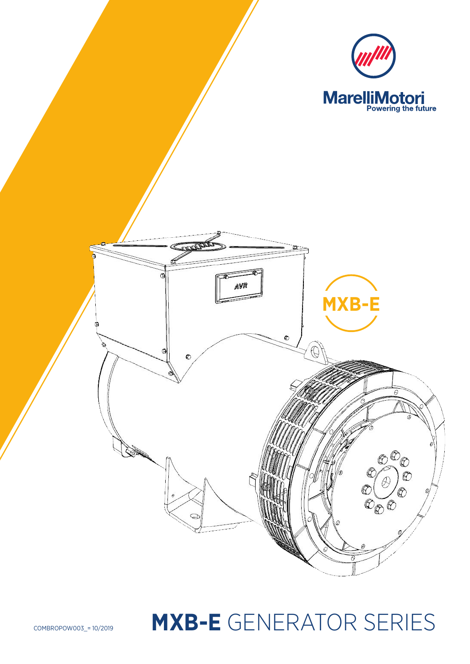

# COMBROPOW003\_= 10/2019 **MXB-E** GENERATOR SERIES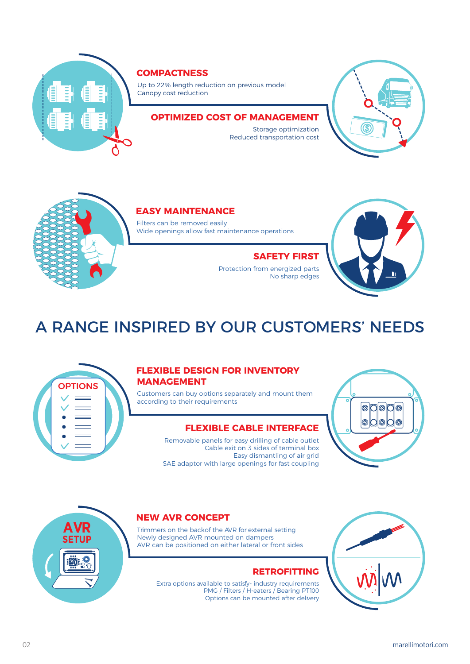

### **COMPACTNESS**

Up to 22% length reduction on previous model Canopy cost reduction

### **OPTIMIZED COST OF MANAGEMENT**

Storage optimization Reduced transportation cost





### **EASY MAINTENANCE**

Filters can be removed easily Wide openings allow fast maintenance operations

### **SAFETY FIRST**

Protection from energized parts No sharp edges



# A RANGE INSPIRED BY OUR CUSTOMERS' NEEDS



### **FLEXIBLE DESIGN FOR INVENTORY MANAGEMENT**

Customers can buy options separately and mount them according to their requirements

### **FLEXIBLE CABLE INTERFACE**

Removable panels for easy drilling of cable outlet Cable exit on 3 sides of terminal box Easy dismantling of air grid SAE adaptor with large openings for fast coupling





### **NEW AVR CONCEPT**

Trimmers on the back of the AVR for external setting Newly designed AVR mounted on dampers AVR can be positioned on either lateral or front sides

### **RETROFITTING**

Extra options available to satisfy- industry requirements PMG / Filters / H-eaters / Bearing PT100 Options can be mounted after delivery

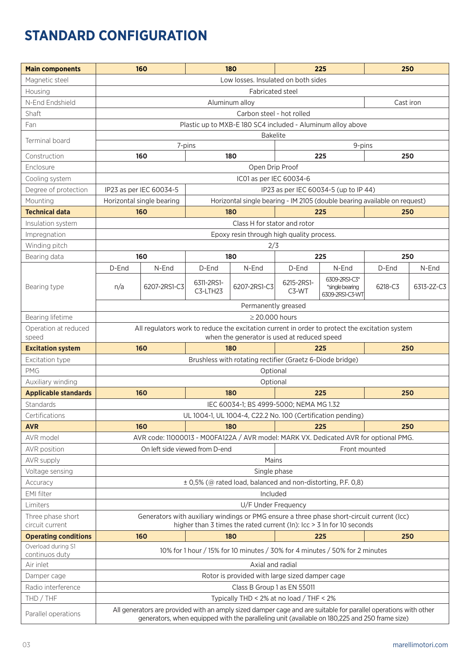# **STANDARD CONFIGURATION**

| <b>Main components</b>      |       | 160                            |                        | 180                                                          |                     | 225                                                                                                                                                                                                              | 250       |            |
|-----------------------------|-------|--------------------------------|------------------------|--------------------------------------------------------------|---------------------|------------------------------------------------------------------------------------------------------------------------------------------------------------------------------------------------------------------|-----------|------------|
| Magnetic steel              |       |                                |                        | Low losses. Insulated on both sides                          |                     |                                                                                                                                                                                                                  |           |            |
| Housing                     |       |                                |                        | Fabricated steel                                             |                     |                                                                                                                                                                                                                  |           |            |
| N-End Endshield             |       |                                |                        | Aluminum alloy                                               |                     |                                                                                                                                                                                                                  | Cast iron |            |
| Shaft                       |       |                                |                        | Carbon steel - hot rolled                                    |                     |                                                                                                                                                                                                                  |           |            |
| Fan                         |       |                                |                        |                                                              |                     | Plastic up to MXB-E 180 SC4 included - Aluminum alloy above                                                                                                                                                      |           |            |
|                             |       |                                |                        | <b>Bakelite</b>                                              |                     |                                                                                                                                                                                                                  |           |            |
| Terminal board              |       |                                | 7-pins                 |                                                              |                     | 9-pins                                                                                                                                                                                                           |           |            |
| Construction                |       | 160                            |                        | 180                                                          |                     | 225                                                                                                                                                                                                              | 250       |            |
| Enclosure                   |       |                                |                        | Open Drip Proof                                              |                     |                                                                                                                                                                                                                  |           |            |
| Cooling system              |       |                                |                        | IC01 as per IEC 60034-6                                      |                     |                                                                                                                                                                                                                  |           |            |
| Degree of protection        |       | IP23 as per IEC 60034-5        |                        |                                                              |                     | IP23 as per IEC 60034-5 (up to IP 44)                                                                                                                                                                            |           |            |
| Mounting                    |       | Horizontal single bearing      |                        |                                                              |                     | Horizontal single bearing - IM 2105 (double bearing available on request)                                                                                                                                        |           |            |
| <b>Technical data</b>       |       | 160                            |                        | 180                                                          |                     | 225                                                                                                                                                                                                              | 250       |            |
| Insulation system           |       |                                |                        | Class H for stator and rotor                                 |                     |                                                                                                                                                                                                                  |           |            |
| Impregnation                |       |                                |                        | Epoxy resin through high quality process.                    |                     |                                                                                                                                                                                                                  |           |            |
| Winding pitch               |       |                                |                        | 2/3                                                          |                     |                                                                                                                                                                                                                  |           |            |
| Bearing data                |       | 160                            |                        | 180                                                          |                     | 225                                                                                                                                                                                                              | 250       |            |
|                             | D-End | N-End                          | D-End                  | N-End                                                        | D-End               | N-End                                                                                                                                                                                                            | D-End     | N-End      |
| Bearing type                | n/a   | 6207-2RS1-C3                   | 6311-2RS1-<br>C3-LTH23 | 6207-2RS1-C3                                                 | 6215-2RS1-<br>C3-WT | 6309-2RS1-C3*<br>*single bearing<br>6309-2RS1-C3-WT                                                                                                                                                              | 6218-C3   | 6313-2Z-C3 |
|                             |       |                                |                        | Permanently greased                                          |                     |                                                                                                                                                                                                                  |           |            |
| Bearing lifetime            |       |                                |                        | $\geq$ 20.000 hours                                          |                     |                                                                                                                                                                                                                  |           |            |
| Operation at reduced        |       |                                |                        |                                                              |                     | All regulators work to reduce the excitation current in order to protect the excitation system                                                                                                                   |           |            |
| speed                       |       |                                |                        | when the generator is used at reduced speed                  |                     |                                                                                                                                                                                                                  |           |            |
| <b>Excitation system</b>    |       | 160                            |                        | 180                                                          |                     | 225                                                                                                                                                                                                              | 250       |            |
| Excitation type             |       |                                |                        | Brushless with rotating rectifier (Graetz 6-Diode bridge)    |                     |                                                                                                                                                                                                                  |           |            |
| <b>PMG</b>                  |       |                                |                        | Optional                                                     |                     |                                                                                                                                                                                                                  |           |            |
| Auxiliary winding           |       |                                |                        | Optional                                                     |                     |                                                                                                                                                                                                                  |           |            |
| <b>Applicable standards</b> |       | 160                            |                        | 180                                                          |                     | 225                                                                                                                                                                                                              | 250       |            |
| <b>Standards</b>            |       |                                |                        | IEC 60034-1; BS 4999-5000; NEMA MG 1.32                      |                     |                                                                                                                                                                                                                  |           |            |
| Certifications              |       |                                |                        |                                                              |                     | UL 1004-1, UL 1004-4, C22.2 No. 100 (Certification pending)                                                                                                                                                      |           |            |
| <b>AVR</b>                  |       | 160                            |                        | 180                                                          |                     | 225                                                                                                                                                                                                              | 250       |            |
| AVR model                   |       |                                |                        |                                                              |                     | AVR code: 11000013 - M00FA122A / AVR model: MARK VX. Dedicated AVR for optional PMG.                                                                                                                             |           |            |
| AVR position                |       | On left side viewed from D-end |                        |                                                              |                     | Front mounted                                                                                                                                                                                                    |           |            |
| AVR supply                  |       |                                |                        | Mains                                                        |                     |                                                                                                                                                                                                                  |           |            |
| Voltage sensing             |       |                                |                        | Single phase                                                 |                     |                                                                                                                                                                                                                  |           |            |
| Accuracy                    |       |                                |                        | ± 0,5% (@ rated load, balanced and non-distorting, P.F. 0,8) |                     |                                                                                                                                                                                                                  |           |            |
| EMI filter                  |       |                                |                        | Included                                                     |                     |                                                                                                                                                                                                                  |           |            |
| Limiters                    |       |                                |                        | U/F Under Frequency                                          |                     |                                                                                                                                                                                                                  |           |            |
| Three phase short           |       |                                |                        |                                                              |                     | Generators with auxiliary windings or PMG ensure a three phase short-circuit current (Icc)                                                                                                                       |           |            |
| circuit current             |       |                                |                        |                                                              |                     | higher than 3 times the rated current (In): Icc $>$ 3 In for 10 seconds                                                                                                                                          |           |            |
| <b>Operating conditions</b> |       | 160                            |                        | 180                                                          |                     | 225                                                                                                                                                                                                              | 250       |            |
| Overload during S1          |       |                                |                        |                                                              |                     | 10% for 1 hour / 15% for 10 minutes / 30% for 4 minutes / 50% for 2 minutes                                                                                                                                      |           |            |
| continuos duty              |       |                                |                        |                                                              |                     |                                                                                                                                                                                                                  |           |            |
| Air inlet                   |       |                                |                        | Axial and radial                                             |                     |                                                                                                                                                                                                                  |           |            |
| Damper cage                 |       |                                |                        | Rotor is provided with large sized damper cage               |                     |                                                                                                                                                                                                                  |           |            |
| Radio interference          |       |                                |                        | Class B Group 1 as EN 55011                                  |                     |                                                                                                                                                                                                                  |           |            |
| THD / THF                   |       |                                |                        | Typically THD < 2% at no load / THF < 2%                     |                     |                                                                                                                                                                                                                  |           |            |
| Parallel operations         |       |                                |                        |                                                              |                     | All generators are provided with an amply sized damper cage and are suitable for parallel operations with other<br>generators, when equipped with the paralleling unit (available on 180,225 and 250 frame size) |           |            |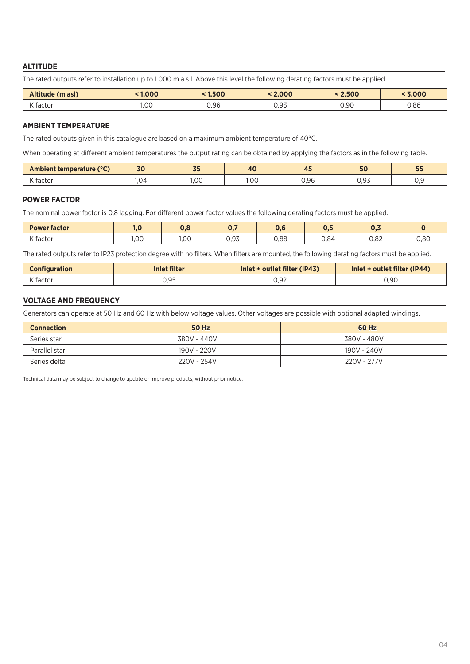### **ALTITUDE**

The rated outputs refer to installation up to 1.000 m a.s.l. Above this level the following derating factors must be applied.

| Altitude (m asl) | 1.000 | 1.500<br>$\blacksquare$ | < 2.000      | 2.500 | 3.000 |
|------------------|-------|-------------------------|--------------|-------|-------|
| K factor         | ,00   | 0,96                    | 0.07<br>◡,◡◡ | 0.90  | 0,86  |

#### **AMBIENT TEMPERATURE**

The rated outputs given in this catalogue are based on a maximum ambient temperature of 40°C.

When operating at different ambient temperatures the output rating can be obtained by applying the factors as in the following table.

| <b>Ambient temperature (</b> | 70               | $-$  | $\overline{A}$ | --   | E <sub>C</sub> | --  |
|------------------------------|------------------|------|----------------|------|----------------|-----|
| $(C^{\circ}C)$               | JU               | J.   | .              | . .  | J              | --  |
| K facto                      | 1.U <sup>z</sup> | 1.00 | $\cap$<br>1,∪∪ | 0.96 | 0.93           | ◡.◡ |

#### **POWER FACTOR**

The nominal power factor is 0,8 lagging. For different power factor values the following derating factors must be applied.

| <b>Power factor</b> | н.   | υ.ι  | $\mathbf{v}_{\mathbf{u}}$    | v,c  | $\mathsf{v}$ . | $\sim$ $\overline{ }$<br>$v_{1}$ |      |
|---------------------|------|------|------------------------------|------|----------------|----------------------------------|------|
| $\sim$<br>. factor  | 1,00 | 1,00 | $\sim$ $\sim$ $\sim$<br>U,Y3 | 0,88 | 0,84           | 0,82                             | 0,80 |

The rated outputs refer to IP23 protection degree with no filters. When filters are mounted, the following derating factors must be applied.

| <b>Configuration</b> | <b>Inlet filter</b> | Inlet + outlet filter (IP43) | Inlet + outlet filter (IP44) |  |  |
|----------------------|---------------------|------------------------------|------------------------------|--|--|
| K factor             | ◡,◡◡                | 0.92                         | 0.90                         |  |  |

#### **VOLTAGE AND FREQUENCY**

Generators can operate at 50 Hz and 60 Hz with below voltage values. Other voltages are possible with optional adapted windings.

| <b>Connection</b> | <b>50 Hz</b> | 60 Hz       |
|-------------------|--------------|-------------|
| Series star       | 380V - 440V  | 380V - 480V |
| Parallel star     | 190V - 220V  | 190V - 240V |
| Series delta      | 220V - 254V  | 220V - 277V |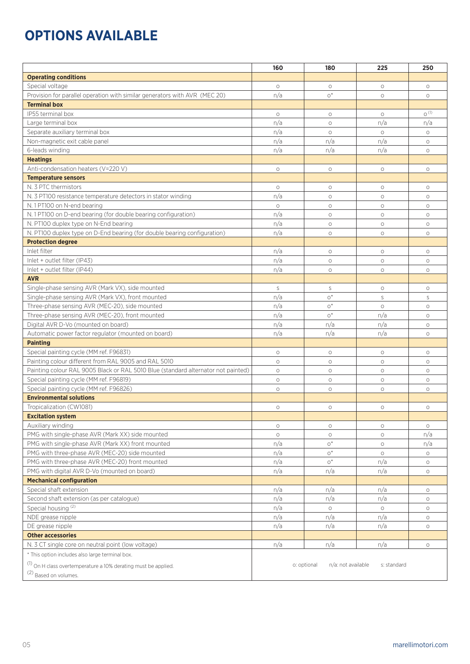# **OPTIONS AVAILABLE**

|                                                                                                 | 160        | 180                               | 225            | 250                |
|-------------------------------------------------------------------------------------------------|------------|-----------------------------------|----------------|--------------------|
| <b>Operating conditions</b>                                                                     |            |                                   |                |                    |
| Special voltage                                                                                 | $\circ$    | $\circ$                           | $\circ$        | $\circ$            |
| Provision for parallel operation with similar generators with AVR (MEC 20)                      | n/a        | $0^*$                             | $\circ$        | $\circ$            |
| <b>Terminal box</b>                                                                             |            |                                   |                |                    |
| IP55 terminal box                                                                               | $\circ$    | $\circ$                           | $\circ$        | $0^{(1)}$          |
| Large terminal box                                                                              | n/a        | $\circ$                           | n/a            | n/a                |
| Separate auxiliary terminal box                                                                 | n/a        | $\circ$                           | $\circ$        | $\circ$            |
| Non-magnetic exit cable panel                                                                   | n/a        | n/a                               | n/a            | $\circ$            |
| 6-leads winding                                                                                 | n/a        | n/a                               | n/a            | $\circ$            |
| <b>Heatings</b>                                                                                 |            |                                   |                |                    |
| Anti-condensation heaters (V=220 V)                                                             | $\circ$    | $\circ$                           | $\circ$        | $\circ$            |
| <b>Temperature sensors</b>                                                                      |            |                                   |                |                    |
| N. 3 PTC thermistors                                                                            | $\circ$    | $\circ$                           | $\circ$        | $\circ$            |
| N. 3 PT100 resistance temperature detectors in stator winding                                   | n/a        | $\circ$                           | $\circ$        | $\circ$            |
| N. 1 PT100 on N-end bearing                                                                     | $\circ$    | $\circ$                           | $\circ$        | $\circ$            |
| N. 1 PT100 on D-end bearing (for double bearing configuration)                                  | n/a        | $\circ$                           | $\circ$        | $\circ$            |
| N. PT100 duplex type on N-End bearing                                                           | n/a        | $\circ$                           | $\circ$        | $\circ$            |
| N. PT100 duplex type on D-End bearing (for double bearing configuration)                        | n/a        | $\circ$                           | $\circ$        | $\circ$            |
| <b>Protection degree</b>                                                                        |            |                                   |                |                    |
| Inlet filter                                                                                    | n/a        | $\circ$                           | $\circ$        | $\circ$            |
| Inlet + outlet filter (IP43)                                                                    | n/a        | $\circ$                           | $\circ$        | $\circ$            |
| Inlet + outlet filter (IP44)                                                                    | n/a        | $\circ$                           | $\circ$        | $\circ$            |
| <b>AVR</b>                                                                                      |            |                                   |                |                    |
| Single-phase sensing AVR (Mark VX), side mounted                                                | S          | S                                 | $\circ$        | $\circ$            |
| Single-phase sensing AVR (Mark VX), front mounted                                               | n/a        | $O^*$                             | S              | S                  |
| Three-phase sensing AVR (MEC-20), side mounted                                                  | n/a        | $O^*$                             | $\circ$        | $\circ$            |
| Three-phase sensing AVR (MEC-20), front mounted                                                 | n/a        | $O^*$                             | n/a            | $\circ$            |
| Digital AVR D-Vo (mounted on board)                                                             | n/a        | n/a                               | n/a            | $\circ$            |
| Automatic power factor regulator (mounted on board)                                             | n/a        | n/a                               | n/a            | $\circ$            |
| <b>Painting</b>                                                                                 |            |                                   |                |                    |
| Special painting cycle (MM ref. F96831)                                                         | $\circ$    | $\circ$                           | $\circ$        | $\circ$            |
| Painting colour different from RAL 9005 and RAL 5010                                            | $\circ$    | $\circ$                           | $\circ$        | $\circ$            |
| Painting colour RAL 9005 Black or RAL 5010 Blue (standard alternator not painted)               | $\circ$    | $\circ$                           | $\circ$        | $\circ$            |
| Special painting cycle (MM ref. F96819)                                                         | $\circ$    | $\circ$                           | $\circ$        | $\circ$            |
| Special painting cycle (MM ref. F96826)                                                         | $\circ$    | O                                 | $\circ$        | $\circ$            |
| <b>Environmental solutions</b>                                                                  |            |                                   |                |                    |
| Tropicalization (CW1081)                                                                        | $\circ$    |                                   |                |                    |
| <b>Excitation system</b>                                                                        |            | $\circ$                           | $\circ$        | $\circ$            |
| Auxiliary winding                                                                               | $\circ$    | $\circ$                           | $\circ$        | $\circ$            |
| PMG with single-phase AVR (Mark XX) side mounted                                                | $\circ$    | $\circ$                           | $\circ$        | n/a                |
| PMG with single-phase AVR (Mark XX) front mounted                                               | n/a        | $O^*$                             | $\circ$        | n/a                |
| PMG with three-phase AVR (MEC-20) side mounted                                                  | n/a        | $O^*$                             |                | $\circ$            |
|                                                                                                 |            | $O^*$                             | $\circ$<br>n/a |                    |
| PMG with three-phase AVR (MEC-20) front mounted<br>PMG with digital AVR D-Vo (mounted on board) | n/a<br>n/a | n/a                               | n/a            | $\circ$<br>$\circ$ |
| <b>Mechanical configuration</b>                                                                 |            |                                   |                |                    |
| Special shaft extension                                                                         | n/a        | n/a                               | n/a            | $\circ$            |
| Second shaft extension (as per catalogue)                                                       | n/a        | n/a                               | n/a            | $\circ$            |
| Special housing <sup>(2)</sup>                                                                  | n/a        | $\circ$                           | $\circ$        | $\circ$            |
| NDE grease nipple                                                                               | n/a        | n/a                               | n/a            | $\circ$            |
| DE grease nipple                                                                                | n/a        | n/a                               | n/a            | $\circ$            |
| <b>Other accessories</b>                                                                        |            |                                   |                |                    |
| N. 3 CT single core on neutral point (low voltage)                                              | n/a        | n/a                               | n/a            | $\circ$            |
| * This option includes also large terminal box.                                                 |            |                                   |                |                    |
|                                                                                                 |            |                                   |                |                    |
| (1) On H class overtemperature a 10% derating must be applied.                                  |            | o: optional<br>n/a: not available | s: standard    |                    |
| (2) Based on volumes.                                                                           |            |                                   |                |                    |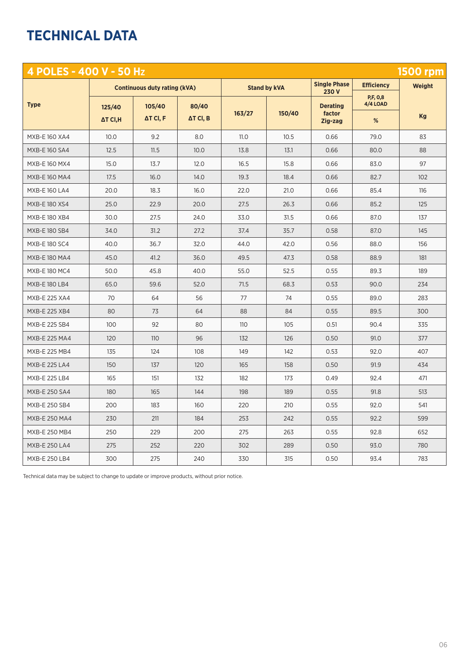# **TECHNICAL DATA**

| 4 POLES - 400 V - 50 Hz |          |                                     |                  |        |                     |                              |                      | <b>1500 rpm</b> |
|-------------------------|----------|-------------------------------------|------------------|--------|---------------------|------------------------------|----------------------|-----------------|
|                         |          | <b>Continuous duty rating (kVA)</b> |                  |        | <b>Stand by kVA</b> | <b>Single Phase</b><br>230 V | <b>Efficiency</b>    | <b>Weight</b>   |
| <b>Type</b>             | 125/40   | 105/40                              | 80/40            |        |                     | <b>Derating</b>              | P,F, 0,8<br>4/4 LOAD |                 |
|                         | ΔT CI, H | $\Delta T$ CI, F                    | $\Delta T$ Cl, B | 163/27 | 150/40              | factor<br>Zig-zag            | %                    | Kg              |
| MXB-E 160 XA4           | 10.0     | 9.2                                 | 8.0              | 11.0   | 10.5                | 0.66                         | 79.0                 | 83              |
| <b>MXB-E160 SA4</b>     | 12.5     | 11.5                                | 10.0             | 13.8   | 13.1                | 0.66                         | 80.0                 | 88              |
| MXB-E 160 MX4           | 15.0     | 13.7                                | 12.0             | 16.5   | 15.8                | 0.66                         | 83.0                 | 97              |
| MXB-E 160 MA4           | 17.5     | 16.0                                | 14.0             | 19.3   | 18.4                | 0.66                         | 82.7                 | 102             |
| <b>MXB-E160 LA4</b>     | 20.0     | 18.3                                | 16.0             | 22.0   | 21.0                | 0.66                         | 85.4                 | 116             |
| <b>MXB-E180 XS4</b>     | 25.0     | 22.9                                | 20.0             | 27.5   | 26.3                | 0.66                         | 85.2                 | 125             |
| MXB-E 180 XB4           | 30.0     | 27.5                                | 24.0             | 33.0   | 31.5                | 0.66                         | 87.0                 | 137             |
| <b>MXB-E180 SB4</b>     | 34.0     | 31.2                                | 27.2             | 37.4   | 35.7                | 0.58                         | 87.0                 | 145             |
| <b>MXB-E180 SC4</b>     | 40.0     | 36.7                                | 32.0             | 44.0   | 42.0                | 0.56                         | 88.0                 | 156             |
| MXB-E 180 MA4           | 45.0     | 41.2                                | 36.0             | 49.5   | 47.3                | 0.58                         | 88.9                 | 181             |
| <b>MXB-E180 MC4</b>     | 50.0     | 45.8                                | 40.0             | 55.0   | 52.5                | 0.55                         | 89.3                 | 189             |
| <b>MXB-E 180 LB4</b>    | 65.0     | 59.6                                | 52.0             | 71.5   | 68.3                | 0.53                         | 90.0                 | 234             |
| MXB-E 225 XA4           | 70       | 64                                  | 56               | 77     | 74                  | 0.55                         | 89.0                 | 283             |
| <b>MXB-E 225 XB4</b>    | 80       | 73                                  | 64               | 88     | 84                  | 0.55                         | 89.5                 | 300             |
| MXB-E 225 SB4           | 100      | 92                                  | 80               | 110    | 105                 | 0.51                         | 90.4                 | 335             |
| MXB-E 225 MA4           | 120      | 110                                 | 96               | 132    | 126                 | 0.50                         | 91.0                 | 377             |
| MXB-E 225 MB4           | 135      | 124                                 | 108              | 149    | 142                 | 0.53                         | 92.0                 | 407             |
| <b>MXB-E 225 LA4</b>    | 150      | 137                                 | 120              | 165    | 158                 | 0.50                         | 91.9                 | 434             |
| MXB-E 225 LB4           | 165      | 151                                 | 132              | 182    | 173                 | 0.49                         | 92.4                 | 471             |
| <b>MXB-E 250 SA4</b>    | 180      | 165                                 | 144              | 198    | 189                 | 0.55                         | 91.8                 | 513             |
| MXB-E 250 SB4           | 200      | 183                                 | 160              | 220    | 210                 | 0.55                         | 92.0                 | 541             |
| <b>MXB-E 250 MA4</b>    | 230      | 211                                 | 184              | 253    | 242                 | 0.55                         | 92.2                 | 599             |
| MXB-E 250 MB4           | 250      | 229                                 | 200              | 275    | 263                 | 0.55                         | 92.8                 | 652             |
| <b>MXB-E 250 LA4</b>    | 275      | 252                                 | 220              | 302    | 289                 | 0.50                         | 93.0                 | 780             |
| MXB-E 250 LB4           | 300      | 275                                 | 240              | 330    | 315                 | 0.50                         | 93.4                 | 783             |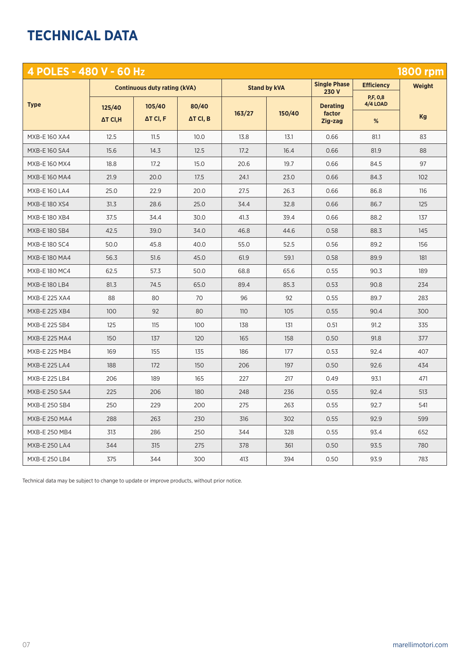# **TECHNICAL DATA**

| 4 POLES - 480 V - 60 Hz |          |                                     |                  |        |                     |                              |                      | <b>1800 rpm</b> |
|-------------------------|----------|-------------------------------------|------------------|--------|---------------------|------------------------------|----------------------|-----------------|
|                         |          | <b>Continuous duty rating (kVA)</b> |                  |        | <b>Stand by kVA</b> | <b>Single Phase</b><br>230 V | <b>Efficiency</b>    | <b>Weight</b>   |
| <b>Type</b>             | 125/40   | 105/40                              | 80/40            |        |                     | <b>Derating</b>              | P,F, 0,8<br>4/4 LOAD |                 |
|                         | ΔT CI, H | $\Delta T$ CI, F                    | $\Delta T$ Cl, B | 163/27 | 150/40              | factor<br>Zig-zag            | %                    | Kg              |
| MXB-E 160 XA4           | 12.5     | 11.5                                | 10.0             | 13.8   | 13.1                | 0.66                         | 81.1                 | 83              |
| <b>MXB-E160 SA4</b>     | 15.6     | 14.3                                | 12.5             | 17.2   | 16.4                | 0.66                         | 81.9                 | 88              |
| MXB-E 160 MX4           | 18.8     | 17.2                                | 15.0             | 20.6   | 19.7                | 0.66                         | 84.5                 | 97              |
| MXB-E 160 MA4           | 21.9     | 20.0                                | 17.5             | 24.1   | 23.0                | 0.66                         | 84.3                 | 102             |
| <b>MXB-E160 LA4</b>     | 25.0     | 22.9                                | 20.0             | 27.5   | 26.3                | 0.66                         | 86.8                 | 116             |
| MXB-E 180 XS4           | 31.3     | 28.6                                | 25.0             | 34.4   | 32.8                | 0.66                         | 86.7                 | 125             |
| MXB-E 180 XB4           | 37.5     | 34.4                                | 30.0             | 41.3   | 39.4                | 0.66                         | 88.2                 | 137             |
| MXB-E 180 SB4           | 42.5     | 39.0                                | 34.0             | 46.8   | 44.6                | 0.58                         | 88.3                 | 145             |
| <b>MXB-E180 SC4</b>     | 50.0     | 45.8                                | 40.0             | 55.0   | 52.5                | 0.56                         | 89.2                 | 156             |
| <b>MXB-E 180 MA4</b>    | 56.3     | 51.6                                | 45.0             | 61.9   | 59.1                | 0.58                         | 89.9                 | 181             |
| MXB-E 180 MC4           | 62.5     | 57.3                                | 50.0             | 68.8   | 65.6                | 0.55                         | 90.3                 | 189             |
| MXB-E 180 LB4           | 81.3     | 74.5                                | 65.0             | 89.4   | 85.3                | 0.53                         | 90.8                 | 234             |
| <b>MXB-E 225 XA4</b>    | 88       | 80                                  | 70               | 96     | 92                  | 0.55                         | 89.7                 | 283             |
| <b>MXB-E 225 XB4</b>    | 100      | 92                                  | 80               | 110    | 105                 | 0.55                         | 90.4                 | 300             |
| <b>MXB-E 225 SB4</b>    | 125      | 115                                 | 100              | 138    | 131                 | 0.51                         | 91.2                 | 335             |
| <b>MXB-E 225 MA4</b>    | 150      | 137                                 | 120              | 165    | 158                 | 0.50                         | 91.8                 | 377             |
| MXB-E 225 MB4           | 169      | 155                                 | 135              | 186    | 177                 | 0.53                         | 92.4                 | 407             |
| <b>MXB-E 225 LA4</b>    | 188      | 172                                 | 150              | 206    | 197                 | 0.50                         | 92.6                 | 434             |
| <b>MXB-E 225 LB4</b>    | 206      | 189                                 | 165              | 227    | 217                 | 0.49                         | 93.1                 | 471             |
| <b>MXB-E 250 SA4</b>    | 225      | 206                                 | 180              | 248    | 236                 | 0.55                         | 92.4                 | 513             |
| MXB-E 250 SB4           | 250      | 229                                 | 200              | 275    | 263                 | 0.55                         | 92.7                 | 541             |
| MXB-E 250 MA4           | 288      | 263                                 | 230              | 316    | 302                 | 0.55                         | 92.9                 | 599             |
| MXB-E 250 MB4           | 313      | 286                                 | 250              | 344    | 328                 | 0.55                         | 93.4                 | 652             |
| MXB-E 250 LA4           | 344      | 315                                 | 275              | 378    | 361                 | 0.50                         | 93.5                 | 780             |
| <b>MXB-E 250 LB4</b>    | 375      | 344                                 | 300              | 413    | 394                 | 0.50                         | 93.9                 | 783             |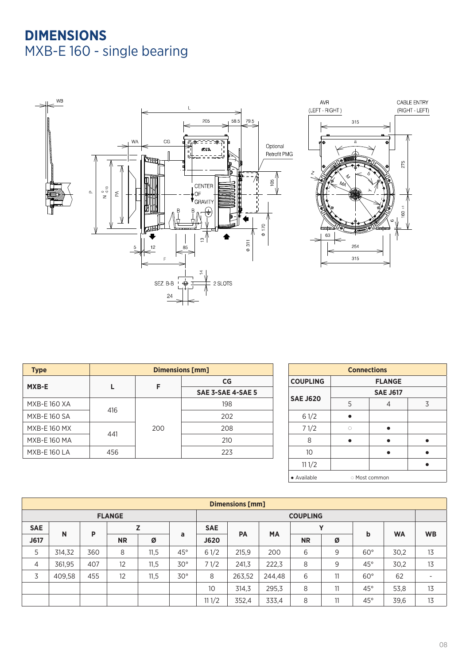# **DIMENSIONS**  MXB-E 160 - single bearing



| <b>Type</b>         | <b>Dimensions [mm]</b> |     |                   |  |  |  |
|---------------------|------------------------|-----|-------------------|--|--|--|
| MXB-E               |                        | F   | CG                |  |  |  |
|                     |                        |     | SAE 3-SAE 4-SAE 5 |  |  |  |
| <b>MXB-E 160 XA</b> | 416                    |     | 198               |  |  |  |
| <b>MXB-E160 SA</b>  |                        |     | 202               |  |  |  |
| <b>MXB-E160 MX</b>  |                        | 200 | 208               |  |  |  |
| <b>MXB-E 160 MA</b> | 441                    |     | 210               |  |  |  |
| <b>MXB-E160 LA</b>  | 456                    |     | 223               |  |  |  |

| <b>Connections</b> |               |                 |   |  |  |  |  |  |
|--------------------|---------------|-----------------|---|--|--|--|--|--|
| <b>COUPLING</b>    | <b>FLANGE</b> |                 |   |  |  |  |  |  |
|                    |               | <b>SAE J617</b> |   |  |  |  |  |  |
| <b>SAE J620</b>    | 5             | 4               | 3 |  |  |  |  |  |
| 61/2               |               |                 |   |  |  |  |  |  |
| 71/2               | Ö             |                 |   |  |  |  |  |  |
| 8                  |               |                 |   |  |  |  |  |  |
| 10                 |               |                 |   |  |  |  |  |  |
| 111/2              |               |                 |   |  |  |  |  |  |
| • Available        | Most common   |                 |   |  |  |  |  |  |

| <b>Dimensions [mm]</b> |        |     |           |      |              |             |                        |                 |   |    |              |           |    |
|------------------------|--------|-----|-----------|------|--------------|-------------|------------------------|-----------------|---|----|--------------|-----------|----|
| <b>FLANGE</b>          |        |     |           |      |              |             |                        | <b>COUPLING</b> |   |    |              |           |    |
| <b>SAE</b>             |        | P   |           | Z    |              | <b>SAE</b>  |                        |                 |   | v  |              |           |    |
| J617                   | N      |     | <b>NR</b> | Ø    | a            | <b>J620</b> | <b>MA</b><br><b>PA</b> | <b>NR</b>       | Ø | b  | <b>WA</b>    | <b>WB</b> |    |
| 5                      | 314,32 | 360 | 8         | 11,5 | $45^\circ$   | 61/2        | 215,9                  | 200             | 6 | 9  | $60^\circ$   | 30,2      | 13 |
| $\overline{4}$         | 361,95 | 407 | 12        | 11,5 | $30^{\circ}$ | 71/2        | 241,3                  | 222,3           | 8 | 9  | $45^{\circ}$ | 30,2      | 13 |
| 3                      | 409,58 | 455 | 12        | 11,5 | $30^{\circ}$ | 8           | 263,52                 | 244.48          | 6 | 11 | $60^\circ$   | 62        |    |
|                        |        |     |           |      |              | 10          | 314,3                  | 295,3           | 8 | 11 | $45^{\circ}$ | 53,8      | 13 |
|                        |        |     |           |      |              | 111/2       | 352,4                  | 333,4           | 8 | 11 | $45^{\circ}$ | 39,6      | 13 |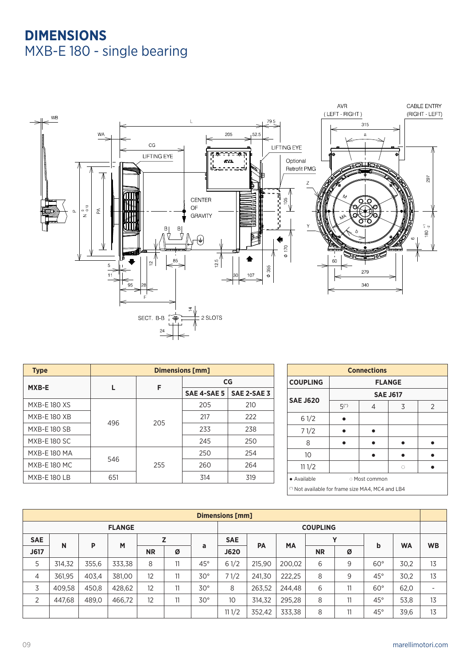## **DIMENSIONS**  MXB-E 180 - single bearing



| <b>Type</b>         | <b>Dimensions [mm]</b> |     |             |             |  |  |  |  |
|---------------------|------------------------|-----|-------------|-------------|--|--|--|--|
| MXB-E               |                        | F   | CG          |             |  |  |  |  |
|                     |                        |     | SAE 4-SAE 5 | SAE 2-SAE 3 |  |  |  |  |
| <b>MXB-E180 XS</b>  |                        |     | 205         | 210         |  |  |  |  |
| <b>MXB-E 180 XB</b> |                        |     | 217         | 222         |  |  |  |  |
| <b>MXB-E 180 SB</b> | 496                    | 205 | 233         | 238         |  |  |  |  |
| <b>MXB-E180 SC</b>  |                        |     | 245         | 250         |  |  |  |  |
| <b>MXB-E 180 MA</b> | 546                    |     | 250         | 254         |  |  |  |  |
| <b>MXB-E 180 MC</b> |                        | 255 | 260         | 264         |  |  |  |  |
| <b>MXB-E 180 LB</b> | 651                    |     | 314         | 319         |  |  |  |  |

| <b>Connections</b>                                |               |             |                 |   |  |  |  |  |  |  |  |
|---------------------------------------------------|---------------|-------------|-----------------|---|--|--|--|--|--|--|--|
| <b>COUPLING</b>                                   | <b>FLANGE</b> |             |                 |   |  |  |  |  |  |  |  |
| <b>SAE J620</b>                                   |               |             | <b>SAE J617</b> |   |  |  |  |  |  |  |  |
|                                                   | $5(*)$        | 4           | 3               | 2 |  |  |  |  |  |  |  |
| 61/2                                              |               |             |                 |   |  |  |  |  |  |  |  |
| 71/2                                              |               |             |                 |   |  |  |  |  |  |  |  |
| 8                                                 |               |             |                 |   |  |  |  |  |  |  |  |
| 10                                                |               |             |                 |   |  |  |  |  |  |  |  |
| 111/2                                             |               |             | Ö               |   |  |  |  |  |  |  |  |
| • Available                                       |               | Most common |                 |   |  |  |  |  |  |  |  |
| (*) Not available for frame size MA4, MC4 and LB4 |               |             |                 |   |  |  |  |  |  |  |  |

|               | <b>Dimensions [mm]</b> |       |        |           |    |              |             |        |                        |   |    |            |           |                          |   |           |           |  |
|---------------|------------------------|-------|--------|-----------|----|--------------|-------------|--------|------------------------|---|----|------------|-----------|--------------------------|---|-----------|-----------|--|
| <b>FLANGE</b> |                        |       |        |           |    |              |             |        | <b>COUPLING</b>        |   |    |            |           |                          |   |           |           |  |
| <b>SAE</b>    |                        |       |        |           | Z  |              | <b>SAE</b>  |        | <b>MA</b><br><b>PA</b> |   |    |            |           |                          | v |           |           |  |
| J617          | N                      | P     | M      | <b>NR</b> | Ø  | a            | <b>J620</b> |        |                        |   |    |            | <b>NR</b> | Ø                        | b | <b>WA</b> | <b>WB</b> |  |
| 5             | 314,32                 | 355,6 | 333,38 | 8         | 11 | $45^{\circ}$ | 61/2        | 215,90 | 200,02                 | 6 | 9  | $60^\circ$ | 30,2      | 13                       |   |           |           |  |
| 4             | 361,95                 | 403,4 | 381,00 | 12        | 11 | $30^{\circ}$ | 71/2        | 241,30 | 222,25                 | 8 | 9  | $45^\circ$ | 30,2      | 13                       |   |           |           |  |
| 3             | 409,58                 | 450,8 | 428,62 | 12        | 11 | $30^\circ$   | 8           | 263,52 | 244,48                 | 6 | 11 | $60^\circ$ | 62,0      | $\overline{\phantom{a}}$ |   |           |           |  |
| 2             | 447,68                 | 489.0 | 466,72 | 12        | 11 | $30^{\circ}$ | 10          | 314,32 | 295,28                 | 8 | 11 | $45^\circ$ | 53,8      | 13                       |   |           |           |  |
|               |                        |       |        |           |    |              | 111/2       | 352,42 | 333,38                 | 8 | 11 | $45^\circ$ | 39,6      | 13                       |   |           |           |  |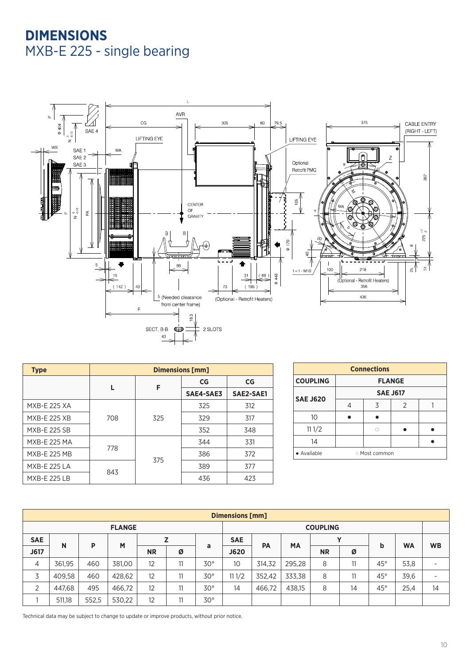## **DIMENSIONS**  MXB-E 225 - single bearing



| <b>Type</b>         | <b>Dimensions [mm]</b> |     |           |           |  |  |  |
|---------------------|------------------------|-----|-----------|-----------|--|--|--|
|                     |                        | F   | CG        | CG        |  |  |  |
|                     |                        |     | SAE4-SAE3 | SAE2-SAE1 |  |  |  |
| <b>MXB-E 225 XA</b> |                        |     | 325       | 312       |  |  |  |
| <b>MXB-E 225 XB</b> | 708                    | 325 | 329       | 317       |  |  |  |
| <b>MXB-E 225 SB</b> |                        |     | 352       | 348       |  |  |  |
| <b>MXB-E 225 MA</b> | 778                    |     | 344       | 331       |  |  |  |
| <b>MXB-E 225 MB</b> |                        | 375 | 386       | 372       |  |  |  |
| <b>MXB-E 225 LA</b> | 843                    |     | 389       | 377       |  |  |  |
| <b>MXB-E 225 LB</b> |                        |     | 436       | 423       |  |  |  |

| <b>Connections</b>         |               |                 |   |  |  |  |  |  |  |  |  |
|----------------------------|---------------|-----------------|---|--|--|--|--|--|--|--|--|
| <b>COUPLING</b>            | <b>FLANGE</b> |                 |   |  |  |  |  |  |  |  |  |
|                            |               | <b>SAE J617</b> |   |  |  |  |  |  |  |  |  |
| <b>SAE J620</b>            |               | 3               | 2 |  |  |  |  |  |  |  |  |
| 10                         |               |                 |   |  |  |  |  |  |  |  |  |
| 111/2                      |               | Ö               |   |  |  |  |  |  |  |  |  |
| 14                         |               |                 |   |  |  |  |  |  |  |  |  |
| • Available<br>Most common |               |                 |   |  |  |  |  |  |  |  |  |

|               | Dimensions [mm] |       |        |           |                 |              |            |        |           |           |    |              |           |                          |  |             |  |  |  |
|---------------|-----------------|-------|--------|-----------|-----------------|--------------|------------|--------|-----------|-----------|----|--------------|-----------|--------------------------|--|-------------|--|--|--|
| <b>FLANGE</b> |                 |       |        |           | <b>COUPLING</b> |              |            |        |           |           |    |              |           |                          |  |             |  |  |  |
| <b>SAE</b>    |                 | P     |        |           | Z               |              | <b>SAE</b> | PA     |           |           |    |              |           |                          |  | $\mathbf v$ |  |  |  |
| J617          | N               |       | M      | <b>NR</b> | Ø               | a            | J620       |        | <b>MA</b> | <b>NR</b> | Ø  | b            | <b>WA</b> | <b>WB</b>                |  |             |  |  |  |
| 4             | 361,95          | 460   | 381,00 | 12        | 11              | $30^{\circ}$ | 10         | 314,32 | 295,28    | 8         | 11 | $45^{\circ}$ | 53,8      | $\overline{\phantom{0}}$ |  |             |  |  |  |
| 3             | 409,58          | 460   | 428,62 | 12        | 11              | $30^{\circ}$ | 111/2      | 352,42 | 333,38    | 8         | 11 | $45^{\circ}$ | 39,6      | -                        |  |             |  |  |  |
| 2             | 447,68          | 495   | 466,72 | 12        | 11              | $30^{\circ}$ | 14         | 466,72 | 438,15    | 8         | 14 | $45^{\circ}$ | 25,4      | 14                       |  |             |  |  |  |
|               | 511,18          | 552,5 | 530,22 | 12        | 11              | $30^{\circ}$ |            |        |           |           |    |              |           |                          |  |             |  |  |  |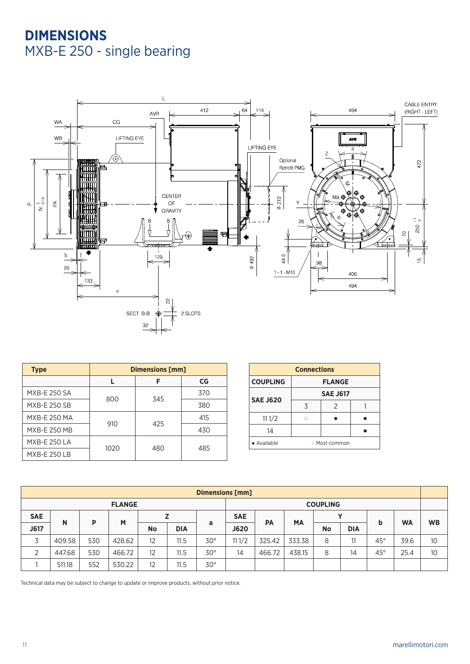## **DIMENSIONS**  MXB-E 250 - single bearing



| <b>Type</b>         | <b>Dimensions [mm]</b> |     |     |  |  |  |  |  |
|---------------------|------------------------|-----|-----|--|--|--|--|--|
|                     |                        | F   | CG  |  |  |  |  |  |
| MXB-E 250 SA        | 800                    | 345 | 370 |  |  |  |  |  |
| MXB-E 250 SB        |                        |     | 380 |  |  |  |  |  |
| MXB-E 250 MA        |                        | 425 | 415 |  |  |  |  |  |
| MXB-E 250 MB        | 910                    |     | 430 |  |  |  |  |  |
| <b>MXB-E 250 LA</b> |                        |     |     |  |  |  |  |  |
| <b>MXB-E 250 LB</b> | 1020                   | 480 | 485 |  |  |  |  |  |

| <b>Connections</b>               |             |                 |  |  |  |  |  |  |  |  |
|----------------------------------|-------------|-----------------|--|--|--|--|--|--|--|--|
| <b>COUPLING</b><br><b>FLANGE</b> |             |                 |  |  |  |  |  |  |  |  |
| <b>SAE J620</b>                  |             | <b>SAE J617</b> |  |  |  |  |  |  |  |  |
|                                  | 3           | $\mathcal{P}$   |  |  |  |  |  |  |  |  |
| 111/2                            |             |                 |  |  |  |  |  |  |  |  |
| 14                               |             |                 |  |  |  |  |  |  |  |  |
| · Available                      | Most common |                 |  |  |  |  |  |  |  |  |

|               | <b>Dimensions [mm]</b> |     |        |           |            |                 |             |        |           |           |            |              |           |                 |  |  |
|---------------|------------------------|-----|--------|-----------|------------|-----------------|-------------|--------|-----------|-----------|------------|--------------|-----------|-----------------|--|--|
| <b>FLANGE</b> |                        |     |        |           |            | <b>COUPLING</b> |             |        |           |           |            |              |           |                 |  |  |
| <b>SAE</b>    |                        |     |        |           |            |                 | <b>SAE</b>  |        |           |           |            |              | v         |                 |  |  |
| J617          | N                      | P   | M      | <b>No</b> | <b>DIA</b> | a               | <b>J620</b> | PA     | <b>MA</b> | <b>No</b> | <b>DIA</b> | b            | <b>WA</b> | <b>WB</b>       |  |  |
| 3             | 409.58                 | 530 | 428.62 | 12        | 11.5       | $30^{\circ}$    | 111/2       | 325.42 | 333.38    | 8         | 11         | $45^{\circ}$ | 39.6      | 10 <sup>°</sup> |  |  |
| 2             | 447.68                 | 530 | 466.72 | 12        | 11.5       | $30^{\circ}$    | 14          | 466.72 | 438.15    | 8         | 14         | $45^{\circ}$ | 25.4      | 10              |  |  |
|               | 511.18                 | 552 | 530.22 | 12        | 11.5       | $30^{\circ}$    |             |        |           |           |            |              |           |                 |  |  |